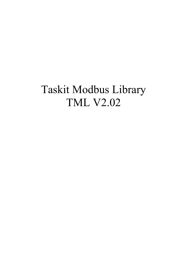# Taskit Modbus Library **TML V2.02**